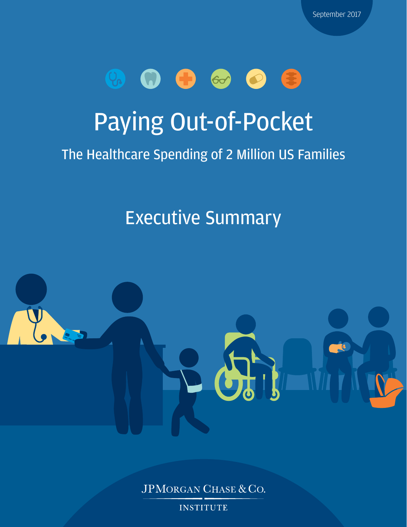

# Paying Out-of-Pocket

### The Healthcare Spending of 2 Million US Families

## Executive Summary



JPMORGAN CHASE & CO.

**INSTITUTE**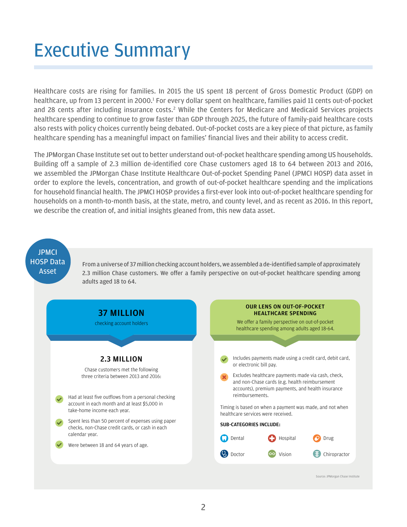# Executive Summary

Healthcare costs are rising for families. In 2015 the US spent 18 percent of Gross Domestic Product (GDP) on healthcare, up from [1](#page-7-0)3 percent in 2000.<sup>1</sup> For every dollar spent on healthcare, families paid 11 cents out-of-pocket and [2](#page-7-1)8 cents after including insurance costs.<sup>2</sup> While the Centers for Medicare and Medicaid Services projects healthcare spending to continue to grow faster than GDP through 2025, the future of family-paid healthcare costs also rests with policy choices currently being debated. Out-of-pocket costs are a key piece of that picture, as family healthcare spending has a meaningful impact on families' financial lives and their ability to access credit.

The JPMorgan Chase Institute set out to better understand out-of-pocket healthcare spending among US households. Building off a sample of 2.3 million de-identified core Chase customers aged 18 to 64 between 2013 and 2016, we assembled the JPMorgan Chase Institute Healthcare Out-of-pocket Spending Panel (JPMCI HOSP) data asset in order to explore the levels, concentration, and growth of out-of-pocket healthcare spending and the implications for household financial health. The JPMCI HOSP provides a first-ever look into out-of-pocket healthcare spending for households on a month-to-month basis, at the state, metro, and county level, and as recent as 2016. In this report, we describe the creation of, and initial insights gleaned from, this new data asset.

#### **JPMCI** HOSP Data Asset

From a universe of 37 million checking account holders, we assembled a de-identified sample of approximately 2.3 million Chase customers. We offer a family perspective on out-of-pocket healthcare spending among adults aged 18 to 64.

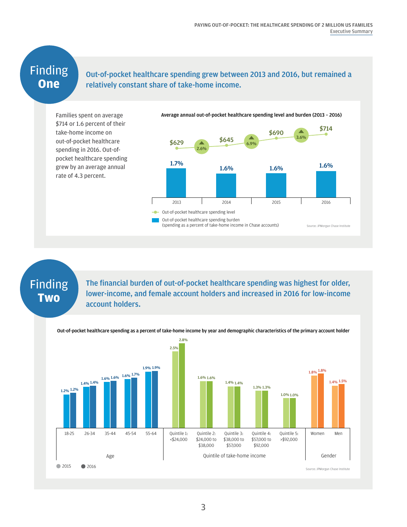#### Finding **One**

#### Out-of-pocket healthcare spending grew between 2013 and 2016, but remained a relatively constant share of take-home income.

Families spent on average \$714 or 1.6 percent of their take-home income on out-of-pocket healthcare spending in 2016. Out-ofpocket healthcare spending grew by an average annual rate of 4.3 percent.



### Finding **Two**

The financial burden of out-of-pocket healthcare spending was highest for older, lower-income, and female account holders and increased in 2016 for low-income account holders.

Out-of-pocket healthcare spending as a percent of take-home income by year and demographic characteristics of the primary account holder

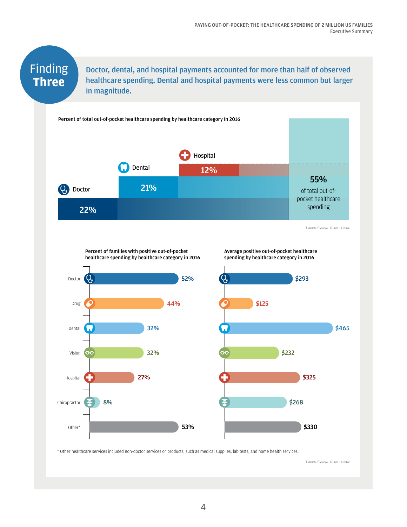### Finding **Three**

Doctor, dental, and hospital payments accounted for more than half of observed healthcare spending. Dental and hospital payments were less common but larger in magnitude.



\* Other healthcare services included non-doctor services or products, such as medical supplies, lab tests, and home health services.

Source: JPMorgan Chase Institute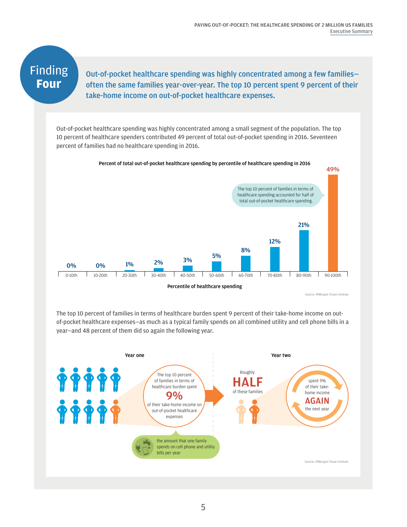### Finding **Four**

Out-of-pocket healthcare spending was highly concentrated among a few families often the same families year-over-year. The top 10 percent spent 9 percent of their take-home income on out-of-pocket healthcare expenses.

Out-of-pocket healthcare spending was highly concentrated among a small segment of the population. The top 10 percent of healthcare spenders contributed 49 percent of total out-of-pocket spending in 2016. Seventeen percent of families had no healthcare spending in 2016.



Source: JPMorgan Chase Institute

The top 10 percent of families in terms of healthcare burden spent 9 percent of their take-home income on outof-pocket healthcare expenses—as much as a typical family spends on all combined utility and cell phone bills in a year—and 48 percent of them did so again the following year.

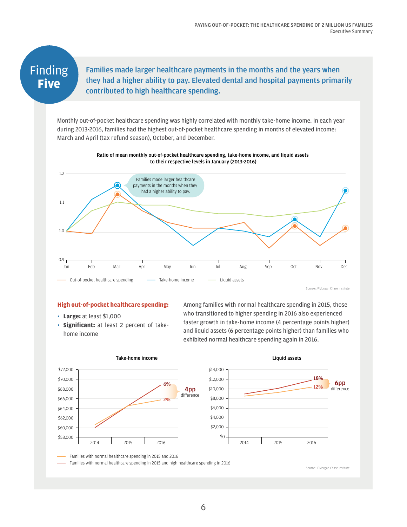#### Finding **Five**

Families made larger healthcare payments in the months and the years when they had a higher ability to pay. Elevated dental and hospital payments primarily contributed to high healthcare spending.

Monthly out-of-pocket healthcare spending was highly correlated with monthly take-home income. In each year during 2013-2016, families had the highest out-of-pocket healthcare spending in months of elevated income: March and April (tax refund season), October, and December.



#### **High out-of-pocket healthcare spending:**

- **Large:** at least \$1,000
- **Significant:** at least 2 percent of takehome income

Among families with normal healthcare spending in 2015, those who transitioned to higher spending in 2016 also experienced faster growth in take-home income (4 percentage points higher) and liquid assets (6 percentage points higher) than families who exhibited normal healthcare spending again in 2016.



#### Take-home income

6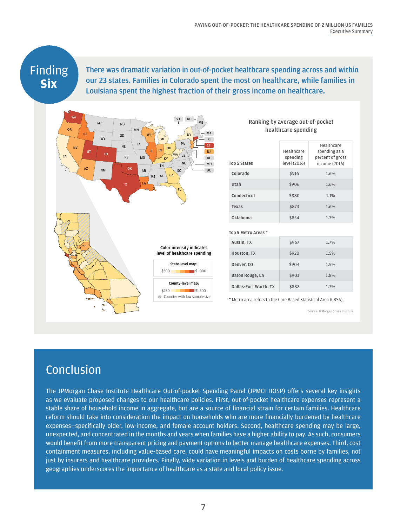### Finding **Six**

There was dramatic variation in out-of-pocket healthcare spending across and within our 23 states. Families in Colorado spent the most on healthcare, while families in Louisiana spent the highest fraction of their gross income on healthcare.



| healthcare spending    |                                        |                                                                  |
|------------------------|----------------------------------------|------------------------------------------------------------------|
| <b>Top 5 States</b>    | Healthcare<br>spending<br>level (2016) | Healthcare<br>spending as a<br>percent of gross<br>income (2016) |
| Colorado               | \$916                                  | 1.6%                                                             |
| Utah                   | \$906                                  | 1.6%                                                             |
| Connecticut            | \$880                                  | 1.1%                                                             |
| Texas                  | \$873                                  | 1.6%                                                             |
| Oklahoma               | \$854                                  | 1.7%                                                             |
| Top 5 Metro Areas *    |                                        |                                                                  |
| Austin, TX             | \$967                                  | 1.7%                                                             |
| Houston, TX            | \$920                                  | 1.5%                                                             |
| Denver, CO             | \$904                                  | 1.5%                                                             |
| <b>Baton Rouge, LA</b> | \$903                                  | 1.8%                                                             |
| Dallas-Fort Worth, TX  | \$882                                  | 1.7%                                                             |

Ranking by average out-of-pocket

\* Metro area refers to the Core Based Statistical Area (CBSA).

Source: JPMorgan Chase Institute

#### Conclusion

The JPMorgan Chase Institute Healthcare Out-of-pocket Spending Panel (JPMCI HOSP) offers several key insights as we evaluate proposed changes to our healthcare policies. First, out-of-pocket healthcare expenses represent a stable share of household income in aggregate, but are a source of financial strain for certain families. Healthcare reform should take into consideration the impact on households who are more financially burdened by healthcare expenses—specifically older, low-income, and female account holders. Second, healthcare spending may be large, unexpected, and concentrated in the months and years when families have a higher ability to pay. As such, consumers would benefit from more transparent pricing and payment options to better manage healthcare expenses. Third, cost containment measures, including value-based care, could have meaningful impacts on costs borne by families, not just by insurers and healthcare providers. Finally, wide variation in levels and burden of healthcare spending across geographies underscores the importance of healthcare as a state and local policy issue.